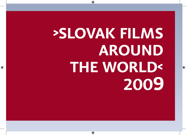# **›SLOVAK FILMS AROUND THE WORLD‹**2009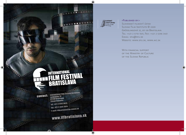



#### ›Published by:‹

Slovenský filmový ústav Slovak Film Institute © 2009 Grösslingová 32, 811 09 Bratislava Tel: +421 2 5710 1501, Fax: +421 2 5296 3461 EMAIL: SFU@SFU.SK Website: www.sfu.sk, www.aic.sk

WITH FINANCIAL SUPPORT of the Ministry of Culture of the Slovak Republic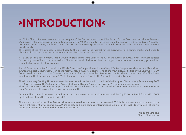# **›INTRODUCTION‹**

In 2008, a Slovak film was presented in the program of the Cannes International Film Festival for the first time after almost 40 years. *Blind Loves* by Juraj Lehotský was not only included in the 40. Directors´ Fortnight selection, but also received the C.I.C.A.E. Award for Art Cinema. From Cannes, *Blind Loves* set off for a successful festival spree around the whole world and collected many further international awards.

The success of the film significantly contributed to the increase in the interest for the current Slovak cinematography and helped to place Slovakia among countries whose cinema is worth exploring into more details.

It is a very positive development, that in 2009 new Slovak films were able to continue in the success of 2008. Slovak films were selected for the programs of important international film festival in which they had been missing for many years, and, moreover, gathered further valuable awards to Slovak cinema.

*Soul at Peace* represented Slovakia in the Official Selection Competition of Karlovy Vary IFF after five years of absence, and *Osadné* was awarded the Best Documentary Film at the festival. *Moon Inside You* became one of the most discussed titles of the Locarno IFF´s 20. Critics´ Week as the first Slovak film ever to be selected for the independent festival section. For the first time since 1989, Slovak film was shown in the International Critics´ Week at Venice IFF, namely *Foxes* by the Slovak director Mira Fornay.

The documentary Cooking History by Keter Kerekes made it to the nomination list of the European Film Academy Documentary 2009 – PRIX ARTE, received the Golden Hugo Award at Chicago IFF, main Vienna Film Prize at Viennale, and many others. The world premiere of *The Border* by Jaro Vojtek was awarded by one of the latest awards of 2009, Between the Seas – Best East European Documentary Film Award at Jihlava Documentary IFF.

At home, Slovak films have also managed to awaken the interest of the local audiences, and the Top 10 list of Slovak films 1993 – 2009 by attendance shows three new titles in 2009.

There are far more Slovak films, festivals they were selected for and awards they received. This bulletin offers a short overview of the main highlights for Slovak cinema in 2009. Up-to-date and more complex information is available at the website www.aic.sk of the Audiovisual Information Centre of the Slovak Film Institute.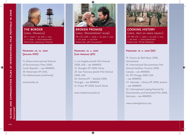

## **THE BORDER** (orig. Hranica)

SK ›‹ 2009 ›‹ 35 mm ›‹ col. ›‹ 72 min. ›‹ documentary Director: Jaroslav Vojtek

#### **Premiere: 28. 10. 2009 (Jihlava IFDF)**

13. Jihlava International Festival of Documentary Films 2009, Czech Republic – see AWARDS 39. Rotterdam IFF 2010, The Netherlands (confirmed)

www.border.sk



**BROKEN PROMISE** (orig. Nedodržaný sľub) SK–CZ–USA ›‹ 2009 ›‹ 35 mm ›‹ col. ›‹ 124 min. ›‹ fiction Director: Jiří Chlumský

#### **Premiere: 25. 4. 2009 (Los Angeles IJFF)**

4. Los Angeles Jewish Film Festival 2009, USA – see AWARDS 12. Shanghai IFF 2009, China 29. San Francisco Jewish Film Festival 2009, USA 25. Festroia IFF – Setúbal 2009, Portugal – see AWARDS 14. Pusan IFF 2009, South Korea

www.nedodrzanyslub.sk



**COOKING HISTORY** (orig. Ako sa varia dejiny) AT–SK–CZ ›‹ 2009 ›‹ 35 mm ›‹ col. ›‹ 88 min. ›‹ documentary Director: Peter Kerekes

#### **Premiere: 19. 2. 2009 (SK)**

15. Visions du Réel Nyon 2009, Switzerland 16. International Documentary Film Festival HotDocs Toronto 2009, Canada – see AWARDS 45. IFF Chicago 2009, USA – see AWARDS 47. Viennale – Vienna IFF 2009, Austria – see AWARDS 52. International Leipzig Festival for Documentary and Animated Film 2009, Germany – see AWARDS

www.cookinghistory.net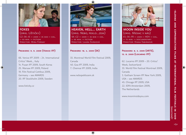



**FOXES** (orig. Líštičky) CZ–SK–IE ›‹ 2009 ›‹ 35 mm ›‹ col. ›‹ 83 min. ›‹ fiction Director: Mira Fornay

#### **Premiere: 9. 9. 2009 (Venice IFF)**

66. Venice IFF 2009 – 24. International Critics' Week, , Italy 14. Pusan IFF 2009, South Korea 25. Warsaw IFF 2009, Poland 19. Film Festival Cottbus 2009, Germany – see AWARDS 20. IFF Stockholm 2009, Sweden

www.listicky.cz



**HEAVEN, HELL... EARTH** (orig. Nebo, peklo...zem)  $SK-CZ \times 2009 \times 35$  MM  $\times$  COL. ›‹ 95 min. ›‹ fiction Director: Laura Siváková

#### **Premiere: 16. 4. 2009 (SK)**

33. Montreal World Film Festival 2009, Canada 40. Goa IFF 2009, India 7. Chennai IFF 2009, India

www.nebopeklozem.sk



**MOON INSIDE YOU** (orig. Mesiac v nás) ES–SK–FR ›‹ 2009 ›‹ HDV ›‹ col. ›‹ 75 min. ›‹ documentary Director: Diana Fabiánová

#### **Premiere: 8. 3. 2009 (ARTE), 13. 8. 2009 (Locarno IFF)**

62. Locarno IFF 2009 – 20. Critics' Week, Switzerland 33. World Film Festival Montreal 2009, Canada 3. Gotham Screen IFF New York 2009, USA – see AWARDS 45. Chicago IFF 2009, USA 22. IDFA Amsterdam 2009, The Netherlands

www.mooninsideyou.com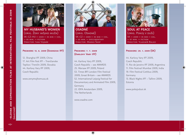

**MY HUSBAND'S WOMEN** (orig. Ženy môjho muža)

SK–CZ–HU ›‹ 2009 ›‹ 35 mm ›‹ col. ›‹ 85 min. ›‹ fiction Director: Ivan Vojnár

#### **Premiere: 13. 6. 2009 (Shanghai IFF)**

12. Shanghai IFF 2009, China 17. Art Film Fest IFF – Trenčianske Teplice / Trenčín 2009, Slovakia 44. Karlovy Vary IFF 2009, Czech Republic

www.zenymojhomuza.sk



**OSADNÉ** (orig. Osadné) SK–CZ ›‹ 2009 ›‹ 35 mm ›‹ col. ›‹ 65 min. ›‹ documentary Director: Marko Škop

#### **Premiere: 7. 7. 2009 (Karlovy Vary IFF)**

44. Karlovy Vary IFF 2009, Czech Republic – see AWARDS 25. Warsaw IFF 2009, Poland 53. Times BFLL ondon Film Festival 2009, Great Britain – see AWARDS 52. International Leipzig Festival for Documentary and Animated Film 2009, Germany 22. IDFA Amsterdam 2009, The Netherlands

www.osadne.com



**SOUL AT PEACE** (orig. Pokoj v duši)

SK ›‹ 2009 ›‹ 35 mm ›‹ col. ›‹ 97 min. ›‹ fiction Director: Vladimír Balko

#### **Premiere: 29. 1. 2009 (SK)**

44. Karlovy Vary IFF 2009, Czech Republic 11. Rio de Janeiro IFF 2009, Argentina 11. Film Festival Mumbai 2009, India 19. Film Festival Cottbus 2009, Germany 13. Black Nights IFF – Tallinn 2009, Estonia

www.pokojvdusi.sk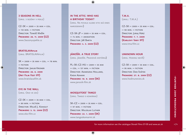**3 SEASONS IN HELL** (orig. 3 sezóny v pekle)

CZ–SK ›‹ 2009 ›‹ 35 mm ›‹ col. ›‹ 110 min. ›‹ fiction Director: Tomáš Mašín **Premiere: 26. 11. 2009 (CZ)** www.3sezonyvpekle.cz

**BRATISLAVAFILM** (orig. BRATISLAVAfilm)

SK >< 2009 >< 35 MM >< COL. >< 78 MIN. ›‹ fiction Director: Jakub Kroner **Premiere: 26. 6. 2009 (Art Film Fest IFF)** www.bratislavafilm.sk

**EYE IN THE WALL** (orig. Oko ve zdi)

CZ–SK ›‹ 2009 ›‹ 35 mm ›‹ col. ›‹ 80 min. ›‹ fiction Director: Miloš J. Kohout **Premiere: 3. 12. 2009 (CZ)** www.oko-film.cz

### **IN THE ATTIC: WHO HAS A BIRTHDAY TODAY?**

(orig. Na povale alebo kto má dnes narodeniny**)**

CZ–SK–JP ›‹ 2009 ›‹ 35 mm ›‹ col. ›‹ 74 min. ›‹ animation Director: Jiří Barta **Premiere: 4. 3. 2009 (CZ)**

**JÁNOŠÍK. A TRUE STORY** (orig. Jánošík. Pravdivá história**)**

PL–SK–CZ–HU ›‹ 2009 ›‹ 35 mm ›‹ col. ›‹ 137 min. ›‹ fiction Director: Agnieszka Holland, Kasia Adamik **Premiere: 10. 9. 2009 (SK)** www.janosik-film.sk

**MOSQUITOES' TANGO** (orig. Tango s komármi)

SK–CZ ›‹ 2009 ›‹ 35 mm ›‹ col. ›‹ 97 min. ›‹ fiction Director: Miloslav Luther **Premiere: 22. 1. 2009 (SK)** www.tangoskomarmi.sk

**T.M.A.** (orig.: T.M.A.)

CZ–SK ›‹ 2009 ›‹ 35 mm ›‹ col. ›‹ 90 min. ›‹ fiction DIRECTOR: JURAJ HERZ **Premiere: 7. 7. 2009 (Karlovy Vary IFF)** www.tma-film.cz

**UNKNOWN HOUR** (orig. Hodinu nevíš)

CZ–SK ›‹ 2009 ›‹ 35 mm ›‹ col. ›‹ 95 min. ›‹ fiction Director: Dan Svátek **Premiere: 27. 8. 2009 (CZ)** www.hodinunevies.sk

›7‹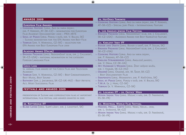#### **awards 2009**

#### **European Film Awards**

- ›‹ **Cooking History** (orig. Ako sa varia dejiny, dir. P. Kerekes, AT–SK–CZ) – nomination for European Film Academy Documentary 2009 – PRIX ARTE
- ›‹ **Soul at Peace** (orig. Pokoj v duši, dir. V. Balko, SK) – Slovak nomination for the EFA Award for Best Film
- ›‹ **Tobruk** (dir. V. Marhoul, CZ–SK) selection for EFA Award for Best European Film 2009

#### **Academy Award (Oscar)**

›‹ **Broken Promise** (orig. Nedodržaný sľub, dir. J. Chlumský, SK–CZ–USA) – national nomination in the category Foreign Language Film

#### **Czech Lion**

16. annual film award of the Czech Film and Television ACADEMY

- ›‹ **Tobruk** (dir. V. Marhoul, CZ–SK) Best Cinematography, Best Music, Best Sound
- ›‹ **Bathory** (dir. J. Jakubisko, SK–CZ–UK–HU) Best Artistic **ACT, MOST SUCCESSFUL FILM**

#### **festivals and awards 2009**

presentation of Slovak and coproduction films at important international film festival and awards granted in 2009

#### **38. Rotterdam IFF**

›‹ **Blind Loves** (orig. Slepé lásky, dir. J. Lehotský, SK)

#### **16. HotDocs Toronto**

›‹ **Cooking History** (orig. Ako sa varia dejiny, dir. P. Kerekes, AT–SK–CZ) – Special Jury Prize – International Feature

#### **4. Los Angeles Jewish Film Festival**

›‹ **Broken Promise** (orig. Nedodržaný sľub, dir. J. Chlumský, SK–CZ–USA) – Audience Award for Best Narrative Feature

#### **44. Karlovy Vary IFF**

- ›‹ **Boxer and Death** (orig. Boxer a smrť, dir. P. Solan, SK)
- ›‹ **Broken Promise** (orig. Nedodržaný sľub, dir. J. Chlumský, SK–CZ–USA)
- ›‹ **Cooking History** (orig. Ako sa varia dejiny, dir. P. Kerekes, AT–SK–CZ)
- ›‹ **English Strawberries** (orig. Anglické jahody, dir. V. Drha, CZ–SK–UA)
- ›‹ **My Husband´s Women** (orig. Ženy môjho muža, dir. I. Vojnár, SK–CZ–HU)
- ›‹ **Osadné** (orig. Osadné, dir. M. Škop, SK–CZ) – Best Documentary Film
- ›‹ **Snapshots** (orig. Momentky, dir. P. Krištúfek, SK)
- ›‹ **Soul at Peace** (orig. Pokoj v duši, dir. V. Balko, SK)
- ›‹ **T.M.A.** (r. J. Herz, CZ–SK)
- ›‹ **Tobruk** (r. V. Marhoul, CZ–SK)

#### **62. Locarno IFF – 20. Critics´ Week**

›‹ **Moon Inside You** (orig. Mesiac v nás, dir. D. Fabiánová, ES–SK–FR)

#### **33. Montreal World Film Festival**

- ›‹ **Heaven, Hell... Earth** (orig. Nebo, peklo... zem, dir. L. Siváková, SK–CZ)
- ›‹ **Moon Inside You** (orig. Mesiac v nás, dir. D. Fabiánová, ES–SK–FR)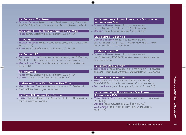#### **25. Festroia IFF – Setúbal**

›‹ **Broken Promise** (orig. Nedodržaný sľub, dir. J. Chlumský, SK–CZ–USA) – Silver Dolphin Best Actor (Samuel Spišák)

#### **66. Venice IFF – 24. International Critics´ Week**

›‹ **Foxes** (orig. Líštičky, dir. M. Fornay, CZ–SK–IE)

#### **14. Pusan IFF**

- ›‹ **Broken Promise** (orig. Nedodržaný sľub, dir. J. Chlumský, SK–CZ–USA)
- ›‹ **Foxes** (orig. Líštičky, dir. M. Fornay, CZ–SK–IE)

#### **45. Chicago IFF**

- ›‹ **Cooking History** (orig. Ako sa varia dejiny, dir. P. Kerekes, AT–SK–CZ) – Golden Hugo in Docufest Competition
- ›‹ **Moon Inside You** (orig. Mesiac v nás, dir. D. Fabiánová, ES–SK–FR)

#### **25. Warsaw IFF**

- ›‹ **Foxes** (orig. Líštičky, dir. M. Fornay, CZ–SK–IE)
- ›‹ **Osadné** (orig. Osadné, dir. M. Škop, SK–CZ)

#### **3. Gotham Screen Film Festival New York**

- ›‹ **Moon Inside You** (orig. Mesiac v nás, dir. D. Fabiánová,
- ›‹ ES–SK–FR) Special Jury Mention

#### **53. Times BFI London Film Festival**

›‹ **Osadné** (orig. Osadné, dir. M. Škop, SK–CZ) – Nomination for the Grierson Award

#### **52. International Leipzig Festival for Documentary and Animated Film**

- ›‹ **Cooking History** (orig. Ako sa varia dejiny, dir. P. Kerekes, AT–SK–CZ) – FIPRESCI Award
- ›‹ **Osadné** (orig. Osadné, dir. M. Škop, SK–CZ)

#### **47. Viennale – Vienna IFF**

›‹ **Cooking History** (orig. Ako sa varia dejiny, dir. P. Kerekes, AT–SK–CZ) – Vienna Film Prize – Main Award for Documentary Film

#### **3. Memorimage IFF**

›‹ **Cooking History** (orig. Ako sa varia dejiny, dir. P. Kerekes, AT–SK–CZ) – Memorimage Award to the Best Production

#### **13. Jihlava Documentary IFF**

›‹ **The Border** (orig. Hranica, dir. J. Vojtek, SK) – Between the Seas – Best East European Documentary Film Award

#### **19. Cottbus Film Festival**

- ›‹ **Foxes** (orig. Líštičky, dir. M. Fornay, CZ–SK–IE) DIALOGUE Prize for Intercultural Communication
- ›‹ **Soul at Peace** (orig. Pokoj v duši, dir. V. Balko, SK)

#### **22. International Documentary Film Festival Amsterdam – IDFA**

- ›‹ **Moon Inside You** (orig. Mesiac v nás, dir. D. Fabiánová, ES–SK–FR)
- ›‹ **Osadné** (orig. Osadné, dir. M. Škop, SK–CZ)
- ›‹ **War Games** (orig. Vojnové hry, dir. D. Jablonski, PL–SK–FR)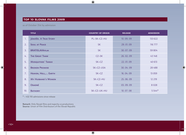# **top 10 slovak films 2009**

as of October 31st by admission

|     | <b>TITLE</b>              | <b>COUNTRY OF ORIGIN</b> | <b>RELEASE</b> | <b>ADMISSION</b> |
|-----|---------------------------|--------------------------|----------------|------------------|
| 1.  | JÁNOŠÍK. A TRUE STORY     | PL-SK-CZ-HU              | 10, 09, 09     | 133 622          |
| 2.  | <b>SOUL AT PEACE</b>      | <b>SK</b>                | 29.01.09       | 116 777          |
| 3.  | <b>BRATISLAVAFILM</b>     | <b>SK</b>                | 30, 07, 09     | 59 804           |
| 4.  | <b>THE GREAT THAW</b>     | $CZ-SK$                  | 26.02.09       | 43 148           |
| 5.  | <b>MOSQUITOES' TANGO</b>  | SK-CZ                    | 22, 01, 09     | 40 6 13          |
| 6.  | <b>BROKEN PROMISE</b>     | SK-CZ-USA                | 30.04.09       | 28 4 8 8         |
| 7.  | HEAVEN, HELL, EARTH       | SK-CZ                    | 16, 04, 09     | 13 0 59          |
| 8.  | <b>MY HUSBAND'S WOMEN</b> | SK-CZ-HU                 | 25, 06, 09     | 12 219           |
| 9.  | <b>OSADNÉ</b>             | SK-CZ                    | 03.09.09       | 8028             |
| 10. | <b>BATHORY</b>            | SK-CZ-UK-HU              | 10.07.08       | $5544*$          |

\* – 432 155 admissions since release

**Remark**: Only Slovak films and majority co-productions **Source**: Union of Film Distributors of the Slovak Republic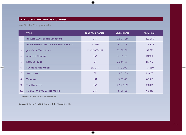# **top 10 slovak republic 2009**

as of October 31st by admission

|     | <b>TITLE</b>                                  | <b>COUNTRY OF ORIGIN</b> | <b>RELEASE DATE</b> | <b>ADMISSION</b> |
|-----|-----------------------------------------------|--------------------------|---------------------|------------------|
| 1.  | ICE AGE: DAWN OF THE DINOSAURS                | <b>USA</b>               | 02.07.09            | 392 350*         |
| 2.  | <b>HARRY POTTER AND THE HALF-BLOOD PRINCE</b> | UK-USA                   | 16.07.09            | 203 826          |
| 3.  | JÁNOŠÍK. A TRUE STORY                         | PL-SK-CZ-HU              | 10.09.09            | 133 622          |
| 4.  | <b>ANGELS &amp; DEMONS</b>                    | <b>USA</b>               | 14.05.09            | 131 900          |
| 5.  | <b>SOUL AT PEACE</b>                          | <b>SK</b>                | 29.01.09            | 116 777          |
| 6.  | <b>FLY ME TO THE MOON</b>                     | <b>BE-USA</b>            | 15, 01, 09          | 107 560          |
| 7.  | <b>SHAMELESS</b>                              | CZ                       | 05.02.09            | 93 470           |
| 8.  | <b>TWILIGHT</b>                               | <b>USA</b>               | 15, 01, 09          | 86 318           |
| 9.  | <b>THE HANGOVER</b>                           | <b>USA</b>               | 02.07.09            | 69 034           |
| 10. | <b>HANNAH MONTANA: THE MOVIE</b>              | <b>USA</b>               | 18.06.09            | 66 812           |

\* – there of 82 938 viewers of 3D version

**Source:** Union of Film Distributors of the Slovak Republic